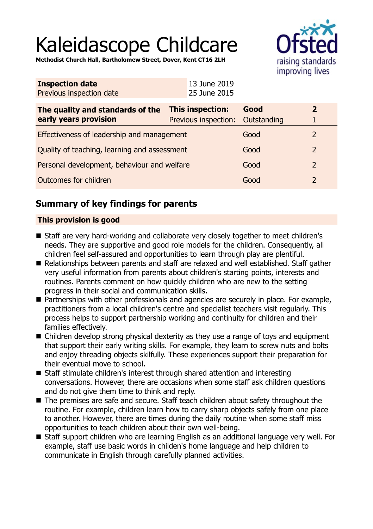# Kaleidascope Childcare

**Methodist Church Hall, Bartholomew Street, Dover, Kent CT16 2LH**



| <b>Inspection date</b>   | 13 June 2019 |
|--------------------------|--------------|
| Previous inspection date | 25 June 2015 |

| The quality and standards of the<br>early years provision | <b>This inspection:</b><br>Previous inspection: Outstanding | Good | $\boldsymbol{z}$ |
|-----------------------------------------------------------|-------------------------------------------------------------|------|------------------|
| Effectiveness of leadership and management                |                                                             | Good |                  |
| Quality of teaching, learning and assessment              |                                                             | Good | $\mathcal{L}$    |
| Personal development, behaviour and welfare               |                                                             | Good |                  |
| Outcomes for children                                     |                                                             | Good |                  |

## **Summary of key findings for parents**

## **This provision is good**

- Staff are very hard-working and collaborate very closely together to meet children's needs. They are supportive and good role models for the children. Consequently, all children feel self-assured and opportunities to learn through play are plentiful.
- Relationships between parents and staff are relaxed and well established. Staff gather very useful information from parents about children's starting points, interests and routines. Parents comment on how quickly children who are new to the setting progress in their social and communication skills.
- Partnerships with other professionals and agencies are securely in place. For example, practitioners from a local children's centre and specialist teachers visit regularly. This process helps to support partnership working and continuity for children and their families effectively.
- $\blacksquare$  Children develop strong physical dexterity as they use a range of toys and equipment that support their early writing skills. For example, they learn to screw nuts and bolts and enjoy threading objects skilfully. These experiences support their preparation for their eventual move to school.
- Staff stimulate children's interest through shared attention and interesting conversations. However, there are occasions when some staff ask children questions and do not give them time to think and reply.
- The premises are safe and secure. Staff teach children about safety throughout the routine. For example, children learn how to carry sharp objects safely from one place to another. However, there are times during the daily routine when some staff miss opportunities to teach children about their own well-being.
- Staff support children who are learning English as an additional language very well. For example, staff use basic words in childen's home language and help children to communicate in English through carefully planned activities.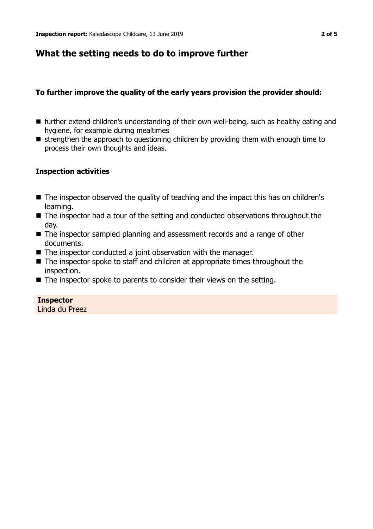## **What the setting needs to do to improve further**

## **To further improve the quality of the early years provision the provider should:**

- $\blacksquare$  further extend children's understanding of their own well-being, such as healthy eating and hygiene, for example during mealtimes
- $\blacksquare$  strengthen the approach to questioning children by providing them with enough time to process their own thoughts and ideas.

## **Inspection activities**

- The inspector observed the quality of teaching and the impact this has on children's learning.
- $\blacksquare$  The inspector had a tour of the setting and conducted observations throughout the day.
- $\blacksquare$  The inspector sampled planning and assessment records and a range of other documents.
- $\blacksquare$  The inspector conducted a joint observation with the manager.
- $\blacksquare$  The inspector spoke to staff and children at appropriate times throughout the inspection.
- $\blacksquare$  The inspector spoke to parents to consider their views on the setting.

### **Inspector**

Linda du Preez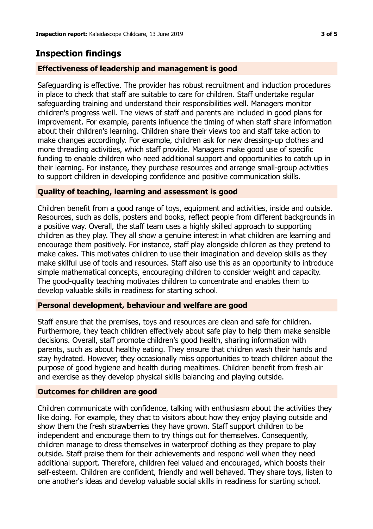## **Inspection findings**

## **Effectiveness of leadership and management is good**

Safeguarding is effective. The provider has robust recruitment and induction procedures in place to check that staff are suitable to care for children. Staff undertake regular safeguarding training and understand their responsibilities well. Managers monitor children's progress well. The views of staff and parents are included in good plans for improvement. For example, parents influence the timing of when staff share information about their children's learning. Children share their views too and staff take action to make changes accordingly. For example, children ask for new dressing-up clothes and more threading activities, which staff provide. Managers make good use of specific funding to enable children who need additional support and opportunities to catch up in their learning. For instance, they purchase resources and arrange small-group activities to support children in developing confidence and positive communication skills.

### **Quality of teaching, learning and assessment is good**

Children benefit from a good range of toys, equipment and activities, inside and outside. Resources, such as dolls, posters and books, reflect people from different backgrounds in a positive way. Overall, the staff team uses a highly skilled approach to supporting children as they play. They all show a genuine interest in what children are learning and encourage them positively. For instance, staff play alongside children as they pretend to make cakes. This motivates children to use their imagination and develop skills as they make skilful use of tools and resources. Staff also use this as an opportunity to introduce simple mathematical concepts, encouraging children to consider weight and capacity. The good-quality teaching motivates children to concentrate and enables them to develop valuable skills in readiness for starting school.

### **Personal development, behaviour and welfare are good**

Staff ensure that the premises, toys and resources are clean and safe for children. Furthermore, they teach children effectively about safe play to help them make sensible decisions. Overall, staff promote children's good health, sharing information with parents, such as about healthy eating. They ensure that children wash their hands and stay hydrated. However, they occasionally miss opportunities to teach children about the purpose of good hygiene and health during mealtimes. Children benefit from fresh air and exercise as they develop physical skills balancing and playing outside.

### **Outcomes for children are good**

Children communicate with confidence, talking with enthusiasm about the activities they like doing. For example, they chat to visitors about how they enjoy playing outside and show them the fresh strawberries they have grown. Staff support children to be independent and encourage them to try things out for themselves. Consequently, children manage to dress themselves in waterproof clothing as they prepare to play outside. Staff praise them for their achievements and respond well when they need additional support. Therefore, children feel valued and encouraged, which boosts their self-esteem. Children are confident, friendly and well behaved. They share toys, listen to one another's ideas and develop valuable social skills in readiness for starting school.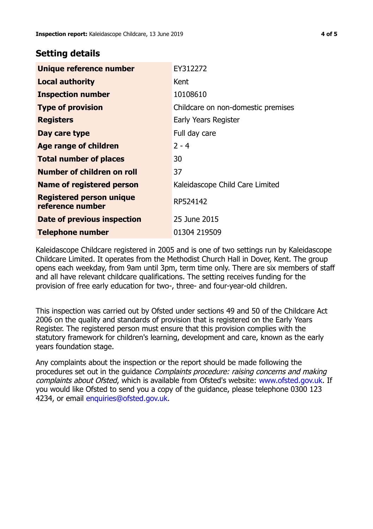## **Setting details**

| Unique reference number                             | EY312272                           |
|-----------------------------------------------------|------------------------------------|
| <b>Local authority</b>                              | Kent                               |
| <b>Inspection number</b>                            | 10108610                           |
| <b>Type of provision</b>                            | Childcare on non-domestic premises |
| <b>Registers</b>                                    | Early Years Register               |
| Day care type                                       | Full day care                      |
| Age range of children                               | $2 - 4$                            |
| <b>Total number of places</b>                       | 30                                 |
| Number of children on roll                          | 37                                 |
| Name of registered person                           | Kaleidascope Child Care Limited    |
| <b>Registered person unique</b><br>reference number | RP524142                           |
| Date of previous inspection                         | 25 June 2015                       |
| <b>Telephone number</b>                             | 01304 219509                       |

Kaleidascope Childcare registered in 2005 and is one of two settings run by Kaleidascope Childcare Limited. It operates from the Methodist Church Hall in Dover, Kent. The group opens each weekday, from 9am until 3pm, term time only. There are six members of staff and all have relevant childcare qualifications. The setting receives funding for the provision of free early education for two-, three- and four-year-old children.

This inspection was carried out by Ofsted under sections 49 and 50 of the Childcare Act 2006 on the quality and standards of provision that is registered on the Early Years Register. The registered person must ensure that this provision complies with the statutory framework for children's learning, development and care, known as the early years foundation stage.

Any complaints about the inspection or the report should be made following the procedures set out in the guidance Complaints procedure: raising concerns and making complaints about Ofsted, which is available from Ofsted's website: www.ofsted.gov.uk. If you would like Ofsted to send you a copy of the guidance, please telephone 0300 123 4234, or email [enquiries@ofsted.gov.uk.](mailto:enquiries@ofsted.gov.uk)